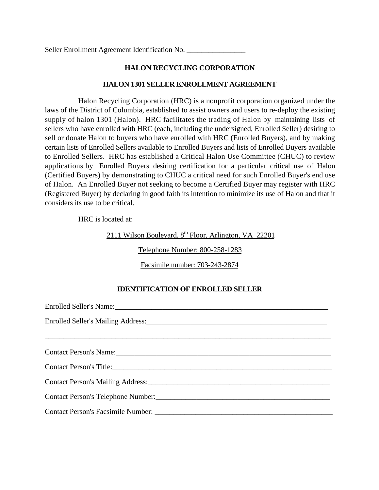Seller Enrollment Agreement Identification No.

# **HALON RECYCLING CORPORATION**

## **HALON 1301 SELLER ENROLLMENT AGREEMENT**

Halon Recycling Corporation (HRC) is a nonprofit corporation organized under the laws of the District of Columbia, established to assist owners and users to re-deploy the existing supply of halon 1301 (Halon). HRC facilitates the trading of Halon by maintaining lists of sellers who have enrolled with HRC (each, including the undersigned, Enrolled Seller) desiring to sell or donate Halon to buyers who have enrolled with HRC (Enrolled Buyers), and by making certain lists of Enrolled Sellers available to Enrolled Buyers and lists of Enrolled Buyers available to Enrolled Sellers. HRC has established a Critical Halon Use Committee (CHUC) to review applications by Enrolled Buyers desiring certification for a particular critical use of Halon (Certified Buyers) by demonstrating to CHUC a critical need for such Enrolled Buyer's end use of Halon. An Enrolled Buyer not seeking to become a Certified Buyer may register with HRC (Registered Buyer) by declaring in good faith its intention to minimize its use of Halon and that it considers its use to be critical.

HRC is located at:

2111 Wilson Boulevard,  $8<sup>th</sup>$  Floor, Arlington, VA 22201

Telephone Number: 800-258-1283

Facsimile number: 703-243-2874

## **IDENTIFICATION OF ENROLLED SELLER**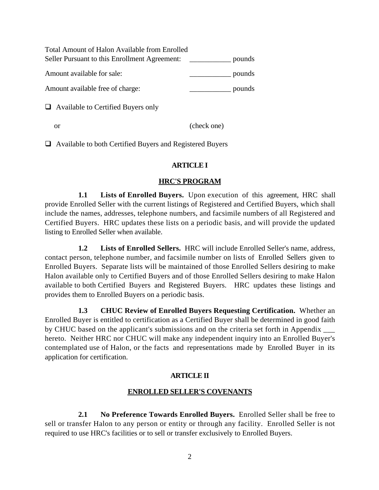| <b>Total Amount of Halon Available from Enrolled</b> |        |
|------------------------------------------------------|--------|
| Seller Pursuant to this Enrollment Agreement:        | pounds |
| Amount available for sale:                           | pounds |
| Amount available free of charge:                     | pounds |
| $\Box$ Available to Certified Buyers only            |        |

 $\Box$  Available to both Certified Buyers and Registered Buyers

or (check one)

## **ARTICLE I**

## **HRC'S PROGRAM**

**1.1 Lists of Enrolled Buyers.** Upon execution of this agreement, HRC shall provide Enrolled Seller with the current listings of Registered and Certified Buyers, which shall include the names, addresses, telephone numbers, and facsimile numbers of all Registered and Certified Buyers. HRC updates these lists on a periodic basis, and will provide the updated listing to Enrolled Seller when available.

**1.2 Lists of Enrolled Sellers.** HRC will include Enrolled Seller's name, address, contact person, telephone number, and facsimile number on lists of Enrolled Sellers given to Enrolled Buyers. Separate lists will be maintained of those Enrolled Sellers desiring to make Halon available only to Certified Buyers and of those Enrolled Sellers desiring to make Halon available to both Certified Buyers and Registered Buyers. HRC updates these listings and provides them to Enrolled Buyers on a periodic basis.

**1.3 CHUC Review of Enrolled Buyers Requesting Certification.** Whether an Enrolled Buyer is entitled to certification as a Certified Buyer shall be determined in good faith by CHUC based on the applicant's submissions and on the criteria set forth in Appendix \_\_\_ hereto. Neither HRC nor CHUC will make any independent inquiry into an Enrolled Buyer's contemplated use of Halon, or the facts and representations made by Enrolled Buyer in its application for certification.

#### **ARTICLE II**

## **ENROLLED SELLER'S COVENANTS**

**2.1 No Preference Towards Enrolled Buyers.** Enrolled Seller shall be free to sell or transfer Halon to any person or entity or through any facility. Enrolled Seller is not required to use HRC's facilities or to sell or transfer exclusively to Enrolled Buyers.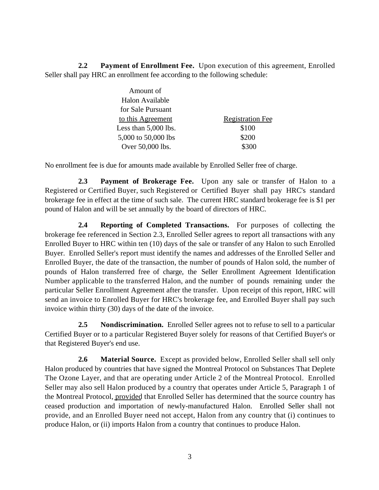**2.2 Payment of Enrollment Fee.** Upon execution of this agreement, Enrolled Seller shall pay HRC an enrollment fee according to the following schedule:

| Amount of              |                         |
|------------------------|-------------------------|
| Halon Available        |                         |
| for Sale Pursuant      |                         |
| to this Agreement      | <b>Registration Fee</b> |
| Less than $5,000$ lbs. | \$100                   |
| 5,000 to 50,000 lbs    | \$200                   |
| Over 50,000 lbs.       |                         |

No enrollment fee is due for amounts made available by Enrolled Seller free of charge.

**2.3 Payment of Brokerage Fee.** Upon any sale or transfer of Halon to a Registered or Certified Buyer, such Registered or Certified Buyer shall pay HRC's standard brokerage fee in effect at the time of such sale. The current HRC standard brokerage fee is \$1 per pound of Halon and will be set annually by the board of directors of HRC.

**2.4 Reporting of Completed Transactions.** For purposes of collecting the brokerage fee referenced in Section 2.3, Enrolled Seller agrees to report all transactions with any Enrolled Buyer to HRC within ten (10) days of the sale or transfer of any Halon to such Enrolled Buyer. Enrolled Seller's report must identify the names and addresses of the Enrolled Seller and Enrolled Buyer, the date of the transaction, the number of pounds of Halon sold, the number of pounds of Halon transferred free of charge, the Seller Enrollment Agreement Identification Number applicable to the transferred Halon, and the number of pounds remaining under the particular Seller Enrollment Agreement after the transfer. Upon receipt of this report, HRC will send an invoice to Enrolled Buyer for HRC's brokerage fee, and Enrolled Buyer shall pay such invoice within thirty (30) days of the date of the invoice.

**2.5 Nondiscrimination.** Enrolled Seller agrees not to refuse to sell to a particular Certified Buyer or to a particular Registered Buyer solely for reasons of that Certified Buyer's or that Registered Buyer's end use.

**2.6 Material Source.** Except as provided below, Enrolled Seller shall sell only Halon produced by countries that have signed the Montreal Protocol on Substances That Deplete The Ozone Layer, and that are operating under Article 2 of the Montreal Protocol. Enrolled Seller may also sell Halon produced by a country that operates under Article 5, Paragraph 1 of the Montreal Protocol, provided that Enrolled Seller has determined that the source country has ceased production and importation of newly-manufactured Halon. Enrolled Seller shall not provide, and an Enrolled Buyer need not accept, Halon from any country that (i) continues to produce Halon, or (ii) imports Halon from a country that continues to produce Halon.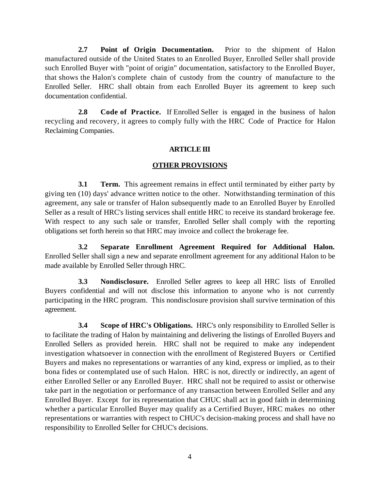**2.7 Point of Origin Documentation.** Prior to the shipment of Halon manufactured outside of the United States to an Enrolled Buyer, Enrolled Seller shall provide such Enrolled Buyer with "point of origin" documentation, satisfactory to the Enrolled Buyer, that shows the Halon's complete chain of custody from the country of manufacture to the Enrolled Seller. HRC shall obtain from each Enrolled Buyer its agreement to keep such documentation confidential.

**2.8 Code of Practice.** If Enrolled Seller is engaged in the business of halon recycling and recovery, it agrees to comply fully with the HRC Code of Practice for Halon Reclaiming Companies.

## **ARTICLE III**

### **OTHER PROVISIONS**

**3.1 Term.** This agreement remains in effect until terminated by either party by giving ten (10) days' advance written notice to the other. Notwithstanding termination of this agreement, any sale or transfer of Halon subsequently made to an Enrolled Buyer by Enrolled Seller as a result of HRC's listing services shall entitle HRC to receive its standard brokerage fee. With respect to any such sale or transfer, Enrolled Seller shall comply with the reporting obligations set forth herein so that HRC may invoice and collect the brokerage fee.

**3.2 Separate Enrollment Agreement Required for Additional Halon.** Enrolled Seller shall sign a new and separate enrollment agreement for any additional Halon to be made available by Enrolled Seller through HRC.

**3.3 Nondisclosure.** Enrolled Seller agrees to keep all HRC lists of Enrolled Buyers confidential and will not disclose this information to anyone who is not currently participating in the HRC program. This nondisclosure provision shall survive termination of this agreement.

**3.4 Scope of HRC's Obligations.** HRC's only responsibility to Enrolled Seller is to facilitate the trading of Halon by maintaining and delivering the listings of Enrolled Buyers and Enrolled Sellers as provided herein. HRC shall not be required to make any independent investigation whatsoever in connection with the enrollment of Registered Buyers or Certified Buyers and makes no representations or warranties of any kind, express or implied, as to their bona fides or contemplated use of such Halon. HRC is not, directly or indirectly, an agent of either Enrolled Seller or any Enrolled Buyer. HRC shall not be required to assist or otherwise take part in the negotiation or performance of any transaction between Enrolled Seller and any Enrolled Buyer. Except for its representation that CHUC shall act in good faith in determining whether a particular Enrolled Buyer may qualify as a Certified Buyer, HRC makes no other representations or warranties with respect to CHUC's decision-making process and shall have no responsibility to Enrolled Seller for CHUC's decisions.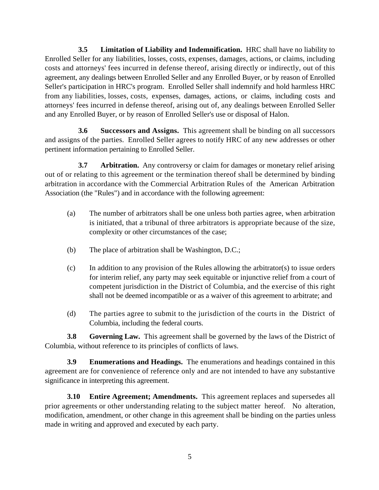**3.5 Limitation of Liability and Indemnification.** HRC shall have no liability to Enrolled Seller for any liabilities, losses, costs, expenses, damages, actions, or claims, including costs and attorneys' fees incurred in defense thereof, arising directly or indirectly, out of this agreement, any dealings between Enrolled Seller and any Enrolled Buyer, or by reason of Enrolled Seller's participation in HRC's program. Enrolled Seller shall indemnify and hold harmless HRC from any liabilities, losses, costs, expenses, damages, actions, or claims, including costs and attorneys' fees incurred in defense thereof, arising out of, any dealings between Enrolled Seller and any Enrolled Buyer, or by reason of Enrolled Seller's use or disposal of Halon.

**3.6 Successors and Assigns.** This agreement shall be binding on all successors and assigns of the parties. Enrolled Seller agrees to notify HRC of any new addresses or other pertinent information pertaining to Enrolled Seller.

**3.7 Arbitration.** Any controversy or claim for damages or monetary relief arising out of or relating to this agreement or the termination thereof shall be determined by binding arbitration in accordance with the Commercial Arbitration Rules of the American Arbitration Association (the "Rules") and in accordance with the following agreement:

- (a) The number of arbitrators shall be one unless both parties agree, when arbitration is initiated, that a tribunal of three arbitrators is appropriate because of the size, complexity or other circumstances of the case;
- (b) The place of arbitration shall be Washington, D.C.;
- (c) In addition to any provision of the Rules allowing the arbitrator(s) to issue orders for interim relief, any party may seek equitable or injunctive relief from a court of competent jurisdiction in the District of Columbia, and the exercise of this right shall not be deemed incompatible or as a waiver of this agreement to arbitrate; and
- (d) The parties agree to submit to the jurisdiction of the courts in the District of Columbia, including the federal courts.

**3.8 Governing Law.** This agreement shall be governed by the laws of the District of Columbia, without reference to its principles of conflicts of laws.

**3.9 Enumerations and Headings.** The enumerations and headings contained in this agreement are for convenience of reference only and are not intended to have any substantive significance in interpreting this agreement.

**3.10 Entire Agreement; Amendments.** This agreement replaces and supersedes all prior agreements or other understanding relating to the subject matter hereof. No alteration, modification, amendment, or other change in this agreement shall be binding on the parties unless made in writing and approved and executed by each party.